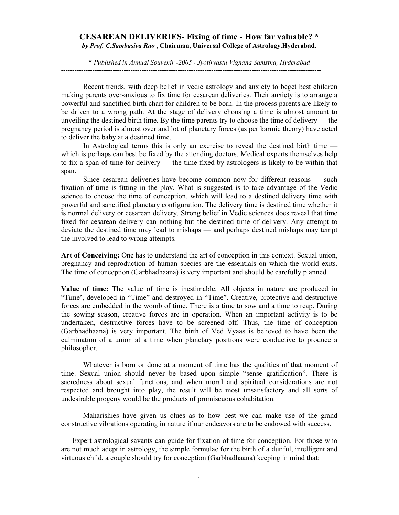## **CESAREAN DELIVERIES**- **Fixing of time - How far valuable? \***  *by Prof. C.Sambasiva Rao* **, Chairman, Universal College of Astrology.Hyderabad.**

------------------------------------------------------------------------------------------------------- **\*** *Published in Annual Souvenir -2005 - Jyotirvastu Vignana Samstha, Hyderabad*  --------------------------------------------------------------------------------------------------------------------

Recent trends, with deep belief in vedic astrology and anxiety to beget best children making parents over-anxious to fix time for cesarean deliveries. Their anxiety is to arrange a powerful and sanctified birth chart for children to be born. In the process parents are likely to be driven to a wrong path. At the stage of delivery choosing a time is almost amount to unveiling the destined birth time. By the time parents try to choose the time of delivery — the pregnancy period is almost over and lot of planetary forces (as per karmic theory) have acted to deliver the baby at a destined time.

In Astrological terms this is only an exercise to reveal the destined birth time which is perhaps can best be fixed by the attending doctors. Medical experts themselves help to fix a span of time for delivery — the time fixed by astrologers is likely to be within that span.

Since cesarean deliveries have become common now for different reasons — such fixation of time is fitting in the play. What is suggested is to take advantage of the Vedic science to choose the time of conception, which will lead to a destined delivery time with powerful and sanctified planetary configuration. The delivery time is destined time whether it is normal delivery or cesarean delivery. Strong belief in Vedic sciences does reveal that time fixed for cesarean delivery can nothing but the destined time of delivery. Any attempt to deviate the destined time may lead to mishaps — and perhaps destined mishaps may tempt the involved to lead to wrong attempts.

**Art of Conceiving:** One has to understand the art of conception in this context. Sexual union, pregnancy and reproduction of human species are the essentials on which the world exits. The time of conception (Garbhadhaana) is very important and should be carefully planned.

**Value of time:** The value of time is inestimable. All objects in nature are produced in "Time', developed in "Time" and destroyed in "Time". Creative, protective and destructive forces are embedded in the womb of time. There is a time to sow and a time to reap. During the sowing season, creative forces are in operation. When an important activity is to be undertaken, destructive forces have to be screened off. Thus, the time of conception (Garbhadhaana) is very important. The birth of Ved Vyaas is believed to have been the culmination of a union at a time when planetary positions were conductive to produce a philosopher.

Whatever is born or done at a moment of time has the qualities of that moment of time. Sexual union should never be based upon simple "sense gratification". There is sacredness about sexual functions, and when moral and spiritual considerations are not respected and brought into play, the result will be most unsatisfactory and all sorts of undesirable progeny would be the products of promiscuous cohabitation.

Maharishies have given us clues as to how best we can make use of the grand constructive vibrations operating in nature if our endeavors are to be endowed with success.

Expert astrological savants can guide for fixation of time for conception. For those who are not much adept in astrology, the simple formulae for the birth of a dutiful, intelligent and virtuous child, a couple should try for conception (Garbhadhaana) keeping in mind that: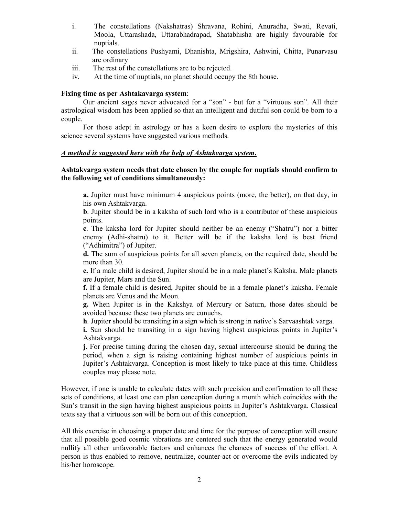- i. The constellations (Nakshatras) Shravana, Rohini, Anuradha, Swati, Revati, Moola, Uttarashada, Uttarabhadrapad, Shatabhisha are highly favourable for nuptials.
- ii. The constellations Pushyami, Dhanishta, Mrigshira, Ashwini, Chitta, Punarvasu are ordinary
- iii. The rest of the constellations are to be rejected.
- iv. At the time of nuptials, no planet should occupy the 8th house.

## **Fixing time as per Ashtakavarga system**:

Our ancient sages never advocated for a "son" - but for a "virtuous son". All their astrological wisdom has been applied so that an intelligent and dutiful son could be born to a couple.

For those adept in astrology or has a keen desire to explore the mysteries of this science several systems have suggested various methods.

## *A method is suggested here with the help of Ashtakvarga system***.**

## **Ashtakvarga system needs that date chosen by the couple for nuptials should confirm to the following set of conditions simultaneously:**

**a.** Jupiter must have minimum 4 auspicious points (more, the better), on that day, in his own Ashtakvarga.

**b**. Jupiter should be in a kaksha of such lord who is a contributor of these auspicious points.

**c**. The kaksha lord for Jupiter should neither be an enemy ("Shatru") nor a bitter enemy (Adhi-shatru) to it. Better will be if the kaksha lord is best friend ("Adhimitra") of Jupiter.

**d.** The sum of auspicious points for all seven planets, on the required date, should be more than 30.

**e.** If a male child is desired, Jupiter should be in a male planet's Kaksha. Male planets are Jupiter, Mars and the Sun.

**f.** If a female child is desired, Jupiter should be in a female planet's kaksha. Female planets are Venus and the Moon.

**g.** When Jupiter is in the Kakshya of Mercury or Saturn, those dates should be avoided because these two planets are eunuchs.

**h**. Jupiter should be transiting in a sign which is strong in native's Sarvaashtak varga.

**i.** Sun should be transiting in a sign having highest auspicious points in Jupiter's Ashtakvarga.

**j**. For precise timing during the chosen day, sexual intercourse should be during the period, when a sign is raising containing highest number of auspicious points in Jupiter's Ashtakvarga. Conception is most likely to take place at this time. Childless couples may please note.

However, if one is unable to calculate dates with such precision and confirmation to all these sets of conditions, at least one can plan conception during a month which coincides with the Sun's transit in the sign having highest auspicious points in Jupiter's Ashtakvarga. Classical texts say that a virtuous son will be born out of this conception.

All this exercise in choosing a proper date and time for the purpose of conception will ensure that all possible good cosmic vibrations are centered such that the energy generated would nullify all other unfavorable factors and enhances the chances of success of the effort. A person is thus enabled to remove, neutralize, counter-act or overcome the evils indicated by his/her horoscope.